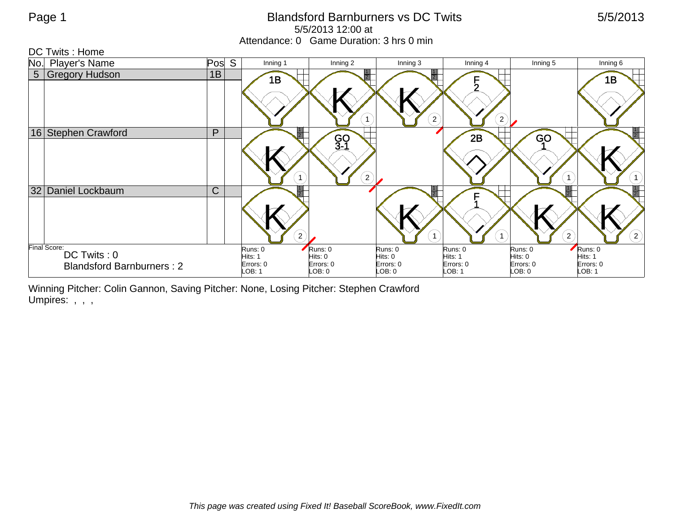## Page 1 **Blandsford Barnburners vs DC Twits** 5/5/2013 5/5/2013 12:00 at Attendance: 0 Game Duration: 3 hrs 0 min

| DC Twits: Home              |                                  |              |                     |                             |                     |                                        |                     |                      |
|-----------------------------|----------------------------------|--------------|---------------------|-----------------------------|---------------------|----------------------------------------|---------------------|----------------------|
| No.                         | <b>Player's Name</b>             | Pos<br>S     | Inning 1            | Inning 2                    | Inning 3            | Inning 4                               | Inning 5            | Inning 6             |
| 5 <sup>1</sup>              | <b>Gregory Hudson</b>            | 1B           | 1B                  |                             |                     | F                                      |                     | 1B                   |
|                             |                                  |              |                     | $\mathbf{1}$                |                     | $\left( 2\right)$<br>$\left( 2\right)$ |                     |                      |
|                             | 16 Stephen Crawford              | P            |                     |                             |                     | 2B                                     | GO                  |                      |
|                             |                                  |              |                     | GO<br>3-1<br>$\overline{2}$ |                     |                                        |                     | $\left( 1\right)$    |
| 32                          | Daniel Lockbaum                  | $\mathsf{C}$ |                     |                             |                     | Е                                      |                     |                      |
|                             |                                  |              |                     | $\left( 2\right)$           |                     |                                        | $2^{1}$             | $\bf(2)$             |
| Final Score:<br>DC Twits: 0 |                                  |              | Runs: 0             | Runs: 0                     | Runs: 0             | Runs: 0                                | Runs: 0             | Runs: 0              |
|                             |                                  |              | Hits: 1             | Hits: 0                     | Hits: 0             | Hits: 1                                | Hits: 0             | Hits: 1<br>Errors: 0 |
|                             | <b>Blandsford Barnburners: 2</b> |              | Errors: 0<br>LOB: 1 | Errors: 0<br>LOB: 0         | Errors: 0<br>LOB: 0 | Errors: 0<br>LOB: 1                    | Errors: 0<br>LOB: 0 | LOB: 1               |

Winning Pitcher: Colin Gannon, Saving Pitcher: None, Losing Pitcher: Stephen Crawford Umpires: , , ,